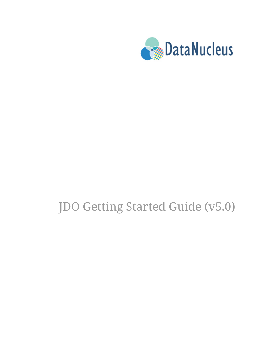

# JDO Getting Started Guide (v5.0)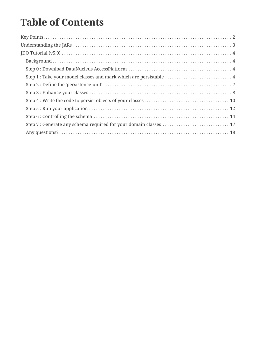## **Table of Contents**

| Step 1 : Take your model classes and mark which are persistable  4 |  |
|--------------------------------------------------------------------|--|
|                                                                    |  |
|                                                                    |  |
|                                                                    |  |
|                                                                    |  |
|                                                                    |  |
|                                                                    |  |
|                                                                    |  |
|                                                                    |  |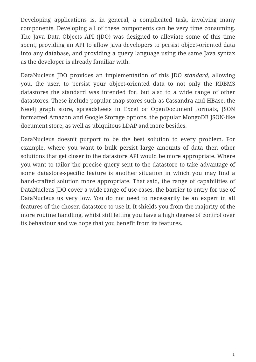Developing applications is, in general, a complicated task, involving many components. Developing all of these components can be very time consuming. The Java Data Objects API (JDO) was designed to alleviate some of this time spent, providing an API to allow java developers to persist object-oriented data into any database, and providing a query language using the same Java syntax as the developer is already familiar with.

DataNucleus JDO provides an implementation of this JDO *standard*, allowing you, the user, to persist your object-oriented data to not only the RDBMS datastores the standard was intended for, but also to a wide range of other datastores. These include popular map stores such as Cassandra and HBase, the Neo4j graph store, spreadsheets in Excel or OpenDocument formats, JSON formatted Amazon and Google Storage options, the popular MongoDB JSON-like document store, as well as ubiquitous LDAP and more besides.

DataNucleus doesn't purport to be the best solution to every problem. For example, where you want to bulk persist large amounts of data then other solutions that get closer to the datastore API would be more appropriate. Where you want to tailor the precise query sent to the datastore to take advantage of some datastore-specific feature is another situation in which you may find a hand-crafted solution more appropriate. That said, the range of capabilities of DataNucleus JDO cover a wide range of use-cases, the barrier to entry for use of DataNucleus us very low. You do not need to necessarily be an expert in all features of the chosen datastore to use it. It shields you from the majority of the more routine handling, whilst still letting you have a high degree of control over its behaviour and we hope that you benefit from its features.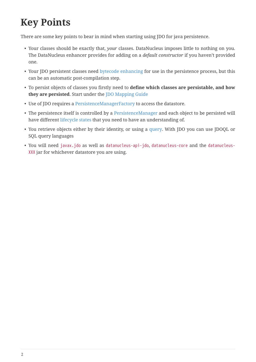## <span id="page-3-0"></span>**Key Points**

There are some key points to bear in mind when starting using JDO for java persistence.

- Your classes should be exactly that, *your* classes. DataNucleus imposes little to nothing on you. The DataNucleus enhancer provides for adding on a *default constructor* if you haven't provided one.
- Your JDO persistent classes need [bytecode enhancing](enhancer.html) for use in the persistence process, but this can be an automatic post-compilation step.
- To persist objects of classes you firstly need to **define which classes are persistable, and how they are persisted**. Start under the [JDO Mapping Guide](mapping.html)
- Use of JDO requires a [PersistenceManagerFactory](persistence.html#pmf) to access the datastore.
- The persistence itself is controlled by a [PersistenceManager](persistence.html#pm) and each object to be persisted will have different [lifecycle states](persistence.html#lifecycle) that you need to have an understanding of.
- You retrieve objects either by their identity, or using a [query.](query.html) With JDO you can use JDOQL or SQL query languages
- You will need javax.jdo as well as datanucleus-api-jdo, datanucleus-core and the datanucleus-XXX jar for whichever datastore you are using.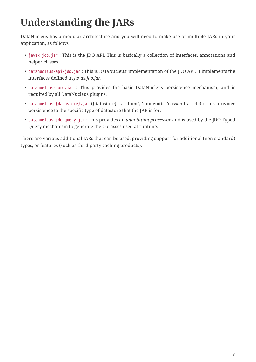# <span id="page-4-0"></span>**Understanding the JARs**

DataNucleus has a modular architecture and you will need to make use of multiple JARs in your application, as follows

- javax.jdo.jar : This is the JDO API. This is basically a collection of interfaces, annotations and helper classes.
- datanucleus-api-jdo.jar : This is DataNucleus' implementation of the JDO API. It implements the interfaces defined in *javax.jdo.jar*.
- datanucleus-core.jar : This provides the basic DataNucleus persistence mechanism, and is required by all DataNucleus plugins.
- datanucleus-{datastore}.jar ({datastore} is 'rdbms', 'mongodb', 'cassandra', etc) : This provides persistence to the specific type of datastore that the JAR is for.
- datanucleus-jdo-query.jar : This provides an *annotation processor* and is used by the JDO Typed Query mechanism to generate the Q classes used at runtime.

There are various additional JARs that can be used, providing support for additional (non-standard) types, or features (such as third-party caching products).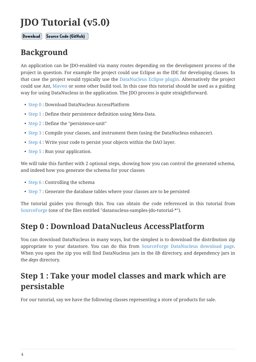## <span id="page-5-0"></span>**JDO Tutorial (v5.0)**

Download

Source Code (GitHub)

#### <span id="page-5-1"></span>**Background**

An application can be JDO-enabled via many routes depending on the development process of the project in question. For example the project could use Eclipse as the IDE for developing classes. In that case the project would typically use the [DataNucleus Eclipse plugin](tools.html#eclipse). Alternatively the project could use Ant, [Maven](tools.html#maven) or some other build tool. In this case this tutorial should be used as a guiding way for using DataNucleus in the application. The JDO process is quite straightforward.

- [Step 0](#page-5-2) : Download DataNucleus AccessPlatform
- [Step 1](#page-5-3) : Define their persistence definition using Meta-Data.
- [Step 2](#page-8-0) : Define the "persistence-unit"
- [Step 3](#page-9-0) : Compile your classes, and instrument them (using the DataNucleus enhancer).
- [Step 4](#page-11-0) : Write your code to persist your objects within the DAO layer.
- [Step 5](#page-13-0) : Run your application.

We will take this further with 2 optional steps, showing how you can control the generated schema, and indeed how you generate the schema for your classes

- [Step 6](#page-15-0) : Controlling the schema
- [Step 7](#page-18-0) : Generate the database tables where your classes are to be persisted

The tutorial guides you through this. You can obtain the code referenced in this tutorial from [SourceForge](https://sourceforge.net/projects/datanucleus/files/datanucleus-samples/) (one of the files entitled "datanucleus-samples-jdo-tutorial-\*").

#### <span id="page-5-2"></span>**Step 0 : Download DataNucleus AccessPlatform**

You can download DataNucleus in many ways, but the simplest is to download the distribution zip appropriate to your datastore. You can do this from [SourceForge DataNucleus download page](https://sourceforge.net/projects/datanucleus/files/datanucleus-accessplatform/). When you open the zip you will find DataNucleus jars in the *lib* directory, and dependency jars in the *deps* directory.

### <span id="page-5-3"></span>**Step 1 : Take your model classes and mark which are persistable**

For our tutorial, say we have the following classes representing a store of products for sale.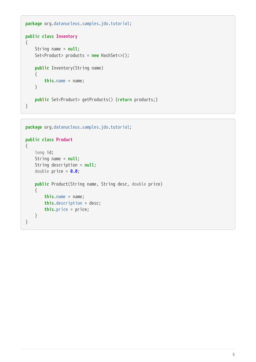```
package org.datanucleus.samples.jdo.tutorial;
public class Inventory
{
      String name = null;
      Set<Product> products = new HashSet<>();
      public Inventory(String name)
      {
          this.name = name;
      }
      public Set<Product> getProducts() {return products;}
}
```

```
package org.datanucleus.samples.jdo.tutorial;
public class Product
{
      long id;
      String name = null;
      String description = null;
      double price = 0.0;
      public Product(String name, String desc, double price)
      {
          this.name = name;
          this.description = desc;
          this.price = price;
      }
}
```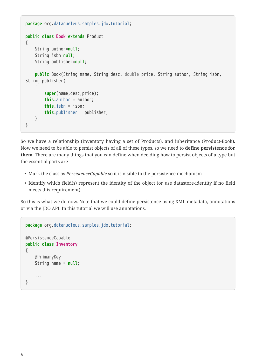```
package org.datanucleus.samples.jdo.tutorial;
public class Book extends Product
{
      String author=null;
      String isbn=null;
      String publisher=null;
      public Book(String name, String desc, double price, String author, String isbn,
String publisher)
      {
          super(name,desc,price);
          this.author = author;
          this.isbn = isbn;
          this.publisher = publisher;
      }
}
```
So we have a relationship (Inventory having a set of Products), and inheritance (Product-Book). Now we need to be able to persist objects of all of these types, so we need to **define persistence for them**. There are many things that you can define when deciding how to persist objects of a type but the essential parts are

- Mark the class as *PersistenceCapable* so it is visible to the persistence mechanism
- Identify which field(s) represent the identity of the object (or use datastore-identity if no field meets this requirement).

So this is what we do now. Note that we could define persistence using XML metadata, annotations or via the JDO API. In this tutorial we will use annotations.

```
package org.datanucleus.samples.jdo.tutorial;
@PersistenceCapable
public class Inventory
{
      @PrimaryKey
      String name = null;
      ...
}
```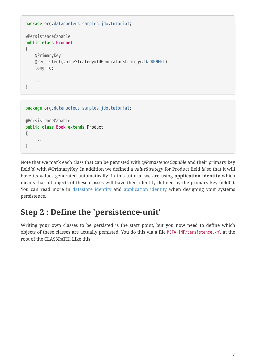```
package org.datanucleus.samples.jdo.tutorial;
@PersistenceCapable
public class Product
{
      @PrimaryKey
      @Persistent(valueStrategy=IdGeneratorStrategy.INCREMENT)
      long id;
      ...
}
```

```
package org.datanucleus.samples.jdo.tutorial;
@PersistenceCapable
public class Book extends Product
{
      ...
```
}

Note that we mark each class that can be persisted with *@PersistenceCapable* and their primary key field(s) with @PrimaryKey. In addition we defined a *valueStrategy* for Product field *id* so that it will have its values generated automatically. In this tutorial we are using **application identity** which means that all objects of these classes will have their identity defined by the primary key field(s). You can read more in [datastore identity](mapping.html#datastore_identity) and [application identity](mapping.html#application_identity) when designing your systems persistence.

#### <span id="page-8-0"></span>**Step 2 : Define the 'persistence-unit'**

Writing your own classes to be persisted is the start point, but you now need to define which objects of these classes are actually persisted. You do this via a file META-INF/persistence.xml at the root of the CLASSPATH. Like this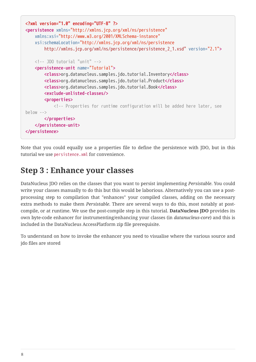```
<?xml version="1.0" encoding="UTF-8" ?>
<persistence xmlns="http://xmlns.jcp.org/xml/ns/persistence"
      xmlns:xsi="http://www.w3.org/2001/XMLSchema-instance"
      xsi:schemaLocation="http://xmlns.jcp.org/xml/ns/persistence
          http://xmlns.jcp.org/xml/ns/persistence/persistence_2_1.xsd" version="2.1">
      <!-- JDO tutorial "unit" -->
      <persistence-unit name="Tutorial">
          <class>org.datanucleus.samples.jdo.tutorial.Inventory</class>
          <class>org.datanucleus.samples.jdo.tutorial.Product</class>
          <class>org.datanucleus.samples.jdo.tutorial.Book</class>
          <exclude-unlisted-classes/>
          <properties>
              <!-- Properties for runtime configuration will be added here later, see
below \rightarrow  </properties>
      </persistence-unit>
</persistence>
```
Note that you could equally use a properties file to define the persistence with JDO, but in this tutorial we use persistence.xml for convenience.

#### <span id="page-9-0"></span>**Step 3 : Enhance your classes**

DataNucleus JDO relies on the classes that you want to persist implementing *Persistable*. You could write your classes manually to do this but this would be laborious. Alternatively you can use a postprocessing step to compilation that "enhances" your compiled classes, adding on the necessary extra methods to make them *Persistable*. There are several ways to do this, most notably at postcompile, or at runtime. We use the post-compile step in this tutorial. **DataNucleus JDO** provides its own byte-code enhancer for instrumenting/enhancing your classes (in *datanucleus-core*) and this is included in the DataNucleus AccessPlatform zip file prerequisite.

To understand on how to invoke the enhancer you need to visualise where the various source and jdo files are stored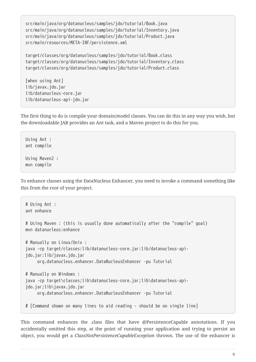src/main/java/org/datanucleus/samples/jdo/tutorial/Book.java src/main/java/org/datanucleus/samples/jdo/tutorial/Inventory.java src/main/java/org/datanucleus/samples/jdo/tutorial/Product.java src/main/resources/META-INF/persistence.xml

```
target/classes/org/datanucleus/samples/jdo/tutorial/Book.class
target/classes/org/datanucleus/samples/jdo/tutorial/Inventory.class
target/classes/org/datanucleus/samples/jdo/tutorial/Product.class
```
[when using Ant] lib/javax.jdo.jar lib/datanucleus-core.jar lib/datanucleus-api-jdo.jar

The first thing to do is compile your domain/model classes. You can do this in any way you wish, but the downloadable JAR provides an Ant task, and a Maven project to do this for you.

Using Ant : ant compile Using Maven2 : mvn compile

To enhance classes using the DataNucleus Enhancer, you need to invoke a command something like this from the root of your project.

```
# Using Ant :
ant enhance
# Using Maven : (this is usually done automatically after the "compile" goal)
mvn datanucleus:enhance
# Manually on Linux/Unix :
java -cp target/classes:lib/datanucleus-core.jar:lib/datanucleus-api-
jdo.jar:lib/javax.jdo.jar
       org.datanucleus.enhancer.DataNucleusEnhancer -pu Tutorial
# Manually on Windows :
java -cp target\classes;lib\datanucleus-core.jar;lib\datanucleus-api-
jdo.jar;lib\javax.jdo.jar
       org.datanucleus.enhancer.DataNucleusEnhancer -pu Tutorial
# [Command shown on many lines to aid reading - should be on single line]
```
This command enhances the .class files that have @PersistenceCapable annotations. If you accidentally omitted this step, at the point of running your application and trying to persist an object, you would get a *ClassNotPersistenceCapableException* thrown. The use of the enhancer is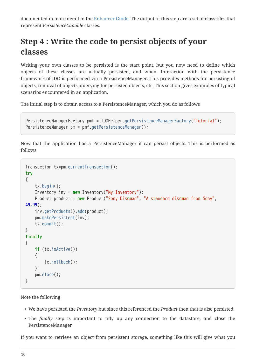documented in more detail in the [Enhancer Guide](enhancer.html). The output of this step are a set of class files that represent *PersistenceCapable* classes.

### <span id="page-11-0"></span>**Step 4 : Write the code to persist objects of your classes**

Writing your own classes to be persisted is the start point, but you now need to define which objects of these classes are actually persisted, and when. Interaction with the persistence framework of JDO is performed via a PersistenceManager. This provides methods for persisting of objects, removal of objects, querying for persisted objects, etc. This section gives examples of typical scenarios encountered in an application.

The initial step is to obtain access to a PersistenceManager, which you do as follows

```
PersistenceManagerFactory pmf = JDOHelper.getPersistenceManagerFactory("Tutorial");
PersistenceManager pm = pmf.getPersistenceManager();
```
Now that the application has a PersistenceManager it can persist objects. This is performed as follows

```
Transaction tx=pm.currentTransaction();
try
{
      tx.begin();
      Inventory inv = new Inventory("My Inventory");
      Product product = new Product("Sony Discman", "A standard discman from Sony",
49.99);
      inv.getProducts().add(product);
      pm.makePersistent(inv);
      tx.commit();
}
finally
{
      if (tx.isActive())
      {
          tx.rollback();
      }
      pm.close();
}
```
Note the following

- We have persisted the *Inventory* but since this referenced the *Product* then that is also persisted.
- The *finally* step is important to tidy up any connection to the datastore, and close the PersistenceManager

If you want to retrieve an object from persistent storage, something like this will give what you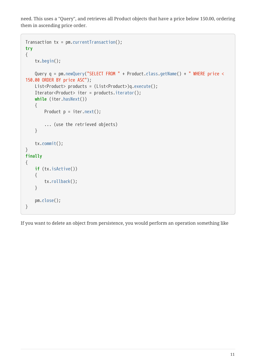need. This uses a "Query", and retrieves all Product objects that have a price below 150.00, ordering them in ascending price order.

```
Transaction tx = pm.currentTransaction();try
{
      tx.begin();
      Query q = pm.newQuery("SELECT FROM " + Product.class.getName() + " WHERE price <
150.00 ORDER BY price ASC");
      List<Product> products = (List<Product>)q.execute();
      Iterator<Product> iter = products.iterator();
      while (iter.hasNext())
      {
        Product p = iter.next();
          ... (use the retrieved objects)
      }
      tx.commit();
}
finally
{
      if (tx.isActive())
      {
          tx.rollback();
      }
      pm.close();
}
```
If you want to delete an object from persistence, you would perform an operation something like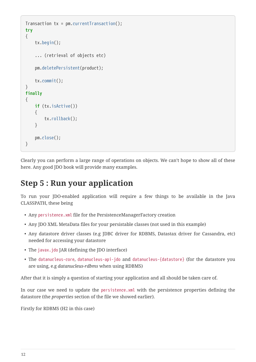```
Transaction tx = pm.currentTransaction();
try
{
      tx.begin();
      ... (retrieval of objects etc)
      pm.deletePersistent(product);
      tx.commit();
}
finally
{
      if (tx.isActive())
      {
           tx.rollback();
      }
      pm.close();
}
```
Clearly you can perform a large range of operations on objects. We can't hope to show all of these here. Any good JDO book will provide many examples.

#### <span id="page-13-0"></span>**Step 5 : Run your application**

To run your JDO-enabled application will require a few things to be available in the Java CLASSPATH, these being

- Any persistence.xml file for the PersistenceManagerFactory creation
- Any JDO XML MetaData files for your persistable classes (not used in this example)
- Any datastore driver classes (e.g JDBC driver for RDBMS, Datastax driver for Cassandra, etc) needed for accessing your datastore
- The javax.jdo JAR (defining the JDO interface)
- The datanucleus-core, datanucleus-api-jdo and datanucleus-{datastore} (for the datastore you are using, e.g *datanucleus-rdbms* when using RDBMS)

After that it is simply a question of starting your application and all should be taken care of.

In our case we need to update the persistence.xml with the persistence properties defining the datastore (the *properties* section of the file we showed earlier).

Firstly for RDBMS (H2 in this case)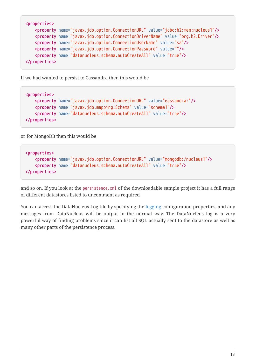```
<properties>
      <property name="javax.jdo.option.ConnectionURL" value="jdbc:h2:mem:nucleus1"/>
      <property name="javax.jdo.option.ConnectionDriverName" value="org.h2.Driver"/>
      <property name="javax.jdo.option.ConnectionUserName" value="sa"/>
      <property name="javax.jdo.option.ConnectionPassword" value=""/>
      <property name="datanucleus.schema.autoCreateAll" value="true"/>
</properties>
```
If we had wanted to persist to Cassandra then this would be

```
<properties>
      <property name="javax.jdo.option.ConnectionURL" value="cassandra:"/>
      <property name="javax.jdo.mapping.Schema" value="schema1"/>
      <property name="datanucleus.schema.autoCreateAll" value="true"/>
</properties>
```
or for MongoDB then this would be

```
<properties>
      <property name="javax.jdo.option.ConnectionURL" value="mongodb:/nucleus1"/>
      <property name="datanucleus.schema.autoCreateAll" value="true"/>
</properties>
```
and so on. If you look at the persistence.xml of the downloadable sample project it has a full range of different datastores listed to uncomment as required

You can access the DataNucleus Log file by specifying the [logging](../logging.html) configuration properties, and any messages from DataNucleus will be output in the normal way. The DataNucleus log is a very powerful way of finding problems since it can list all SQL actually sent to the datastore as well as many other parts of the persistence process.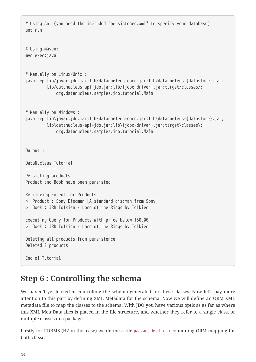```
# Using Ant (you need the included "persistence.xml" to specify your database)
ant run
# Using Maven:
mvn exec:java
# Manually on Linux/Unix :
java -cp lib/javax.jdo.jar:lib/datanucleus-core.jar:lib/datanucleus-{datastore}.jar:
           lib/datanucleus-api-jdo.jar:lib/{jdbc-driver}.jar:target/classes/:.
               org.datanucleus.samples.jdo.tutorial.Main
# Manually on Windows :
java -cp lib\javax.jdo.jar;lib\datanucleus-core.jar;lib\datanucleus-{datastore}.jar;
           lib\datanucleus-api-jdo.jar;lib\{jdbc-driver}.jar;target\classes\;.
               org.datanucleus.samples.jdo.tutorial.Main
Output :
DataNucleus Tutorial
=============
Persisting products
Product and Book have been persisted
Retrieving Extent for Products
> Product : Sony Discman [A standard discman from Sony]
> Book : JRR Tolkien - Lord of the Rings by Tolkien
Executing Query for Products with price below 150.00
> Book : JRR Tolkien - Lord of the Rings by Tolkien
Deleting all products from persistence
Deleted 2 products
End of Tutorial
```
#### <span id="page-15-0"></span>**Step 6 : Controlling the schema**

We haven't yet looked at controlling the schema generated for these classes. Now let's pay more attention to this part by defining XML Metadata for the schema. Now we will define an ORM XML metadata file to map the classes to the schema. With JDO you have various options as far as where this XML MetaData files is placed in the file structure, and whether they refer to a single class, or multiple classes in a package.

Firstly for RDBMS (H2 in this case) we define a file package-hsql.orm containing ORM mapping for both classes.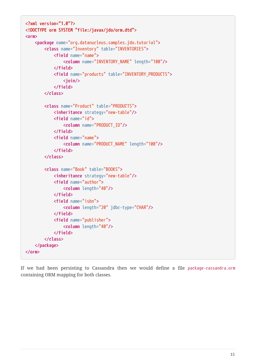```
<?xml version="1.0"?>
<!DOCTYPE orm SYSTEM "file:/javax/jdo/orm.dtd">
<orm>
      <package name="org.datanucleus.samples.jdo.tutorial">
          <class name="Inventory" table="INVENTORIES">
               <field name="name">
                   <column name="INVENTORY_NAME" length="100"/>
               </field>
               <field name="products" table="INVENTORY_PRODUCTS">
                   <join/>
               </field>
          </class>
          <class name="Product" table="PRODUCTS">
               <inheritance strategy="new-table"/>
               <field name="id">
                   <column name="PRODUCT_ID"/>
               </field>
               <field name="name">
                   <column name="PRODUCT_NAME" length="100"/>
               </field>
          </class>
          <class name="Book" table="BOOKS">
               <inheritance strategy="new-table"/>
               <field name="author">
                   <column length="40"/>
               </field>
               <field name="isbn">
                   <column length="20" jdbc-type="CHAR"/>
               </field>
               <field name="publisher">
                   <column length="40"/>
               </field>
          </class>
      </package>
</orm>
```
If we had been persisting to Cassandra then we would define a file package-cassandra.orm containing ORM mapping for both classes.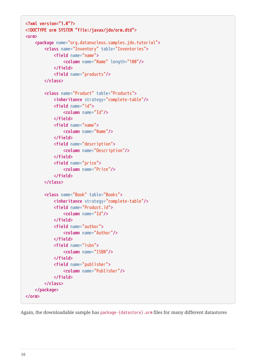```
<?xml version="1.0"?>
<!DOCTYPE orm SYSTEM "file:/javax/jdo/orm.dtd">
<orm>
      <package name="org.datanucleus.samples.jdo.tutorial">
          <class name="Inventory" table="Inventories">
               <field name="name">
                   <column name="Name" length="100"/>
               </field>
               <field name="products"/>
          </class>
          <class name="Product" table="Products">
               <inheritance strategy="complete-table"/>
               <field name="id">
                   <column name="Id"/>
               </field>
               <field name="name">
                   <column name="Name"/>
               </field>
               <field name="description">
                   <column name="Description"/>
               </field>
               <field name="price">
                   <column name="Price"/>
               </field>
          </class>
          <class name="Book" table="Books">
               <inheritance strategy="complete-table"/>
               <field name="Product.id">
                   <column name="Id"/>
               </field>
               <field name="author">
                   <column name="Author"/>
               </field>
               <field name="isbn">
                   <column name="ISBN"/>
               </field>
               <field name="publisher">
                   <column name="Publisher"/>
               </field>
          </class>
      </package>
</orm>
```
Again, the downloadable sample has package-{datastore}.orm files for many different datastores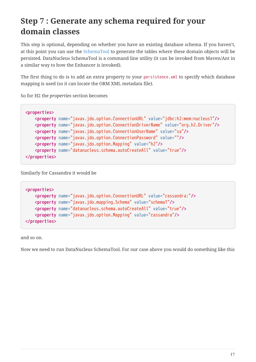#### <span id="page-18-0"></span>**Step 7 : Generate any schema required for your domain classes**

This step is optional, depending on whether you have an existing database schema. If you haven't, at this point you can use the [SchemaTool](persistence.html#schematool) to generate the tables where these domain objects will be persisted. DataNucleus SchemaTool is a command line utility (it can be invoked from Maven/Ant in a similar way to how the Enhancer is invoked).

The first thing to do is to add an extra property to your persistence.xml to specify which database mapping is used (so it can locate the ORM XML metadata file).

So for H2 the *properties* section becomes

```
<properties>
      <property name="javax.jdo.option.ConnectionURL" value="jdbc:h2:mem:nucleus1"/>
      <property name="javax.jdo.option.ConnectionDriverName" value="org.h2.Driver"/>
      <property name="javax.jdo.option.ConnectionUserName" value="sa"/>
      <property name="javax.jdo.option.ConnectionPassword" value=""/>
      <property name="javax.jdo.option.Mapping" value="h2"/>
      <property name="datanucleus.schema.autoCreateAll" value="true"/>
</properties>
```
Similarly for Cassandra it would be

```
<properties>
      <property name="javax.jdo.option.ConnectionURL" value="cassandra:"/>
      <property name="javax.jdo.mapping.Schema" value="schema1"/>
      <property name="datanucleus.schema.autoCreateAll" value="true"/>
      <property name="javax.jdo.option.Mapping" value="cassandra"/>
</properties>
```
and so on.

Now we need to run DataNucleus SchemaTool. For our case above you would do something like this